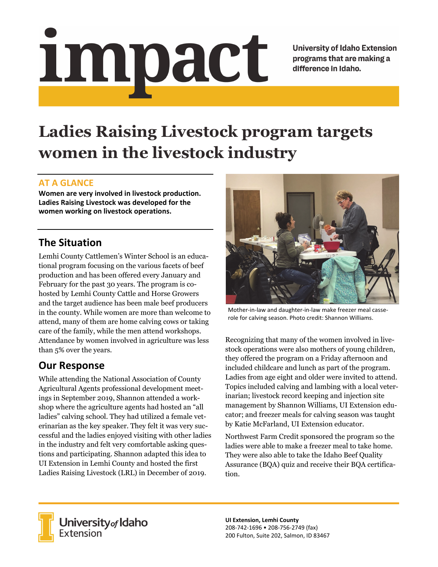# Impact

**University of Idaho Extension** programs that are making a difference in Idaho.

# **Ladies Raising Livestock program targets women in the livestock industry**

### **AT A GLANCE**

**Women are very involved in livestock production. Ladies Raising Livestock was developed for the women working on livestock operations.**

## **The Situation**

Lemhi County Cattlemen's Winter School is an educational program focusing on the various facets of beef production and has been offered every January and February for the past 30 years. The program is cohosted by Lemhi County Cattle and Horse Growers and the target audience has been male beef producers in the county. While women are more than welcome to attend, many of them are home calving cows or taking care of the family, while the men attend workshops. Attendance by women involved in agriculture was less than 5% over the years.

### **Our Response**

While attending the National Association of County Agricultural Agents professional development meetings in September 2019, Shannon attended a workshop where the agriculture agents had hosted an "all ladies" calving school. They had utilized a female veterinarian as the key speaker. They felt it was very successful and the ladies enjoyed visiting with other ladies in the industry and felt very comfortable asking questions and participating. Shannon adapted this idea to UI Extension in Lemhi County and hosted the first Ladies Raising Livestock (LRL) in December of 2019.



Mother-in-law and daughter-in-law make freezer meal casserole for calving season. Photo credit: Shannon Williams.

Recognizing that many of the women involved in livestock operations were also mothers of young children, they offered the program on a Friday afternoon and included childcare and lunch as part of the program. Ladies from age eight and older were invited to attend. Topics included calving and lambing with a local veterinarian; livestock record keeping and injection site management by Shannon Williams, UI Extension educator; and freezer meals for calving season was taught by Katie McFarland, UI Extension educator.

Northwest Farm Credit sponsored the program so the ladies were able to make a freezer meal to take home. They were also able to take the Idaho Beef Quality Assurance (BQA) quiz and receive their BQA certification.



**University** of Idaho<br>Extension

**UI Extension, Lemhi County** 208‐742‐1696 • 208‐756‐2749 (fax) 200 Fulton, Suite 202, Salmon, ID 83467